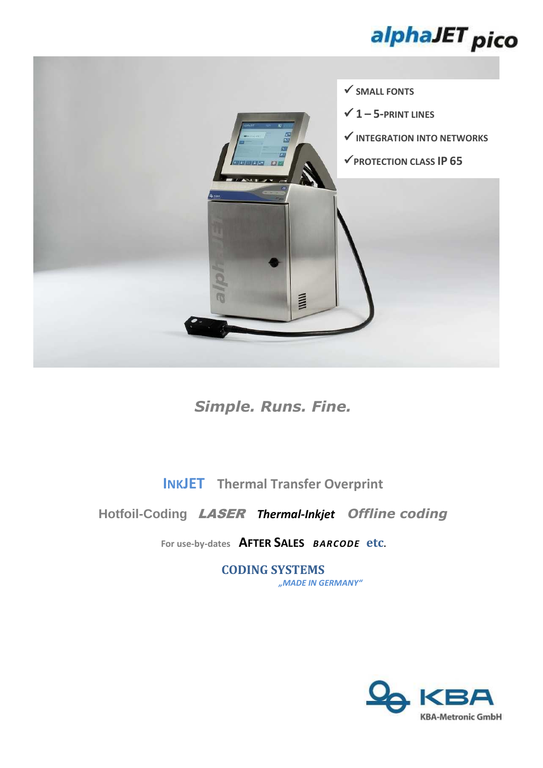



*Simple. Runs. Fine.* 

**INKJET Thermal Transfer Overprint**

## **Hotfoil-Coding** LASER *Thermal-Inkjet**Offline coding*

**For use-by-dates AFTER SALES** *BARCODE* **etc.** 

**CODING SYSTEMS** *"MADE IN GERMANY"*